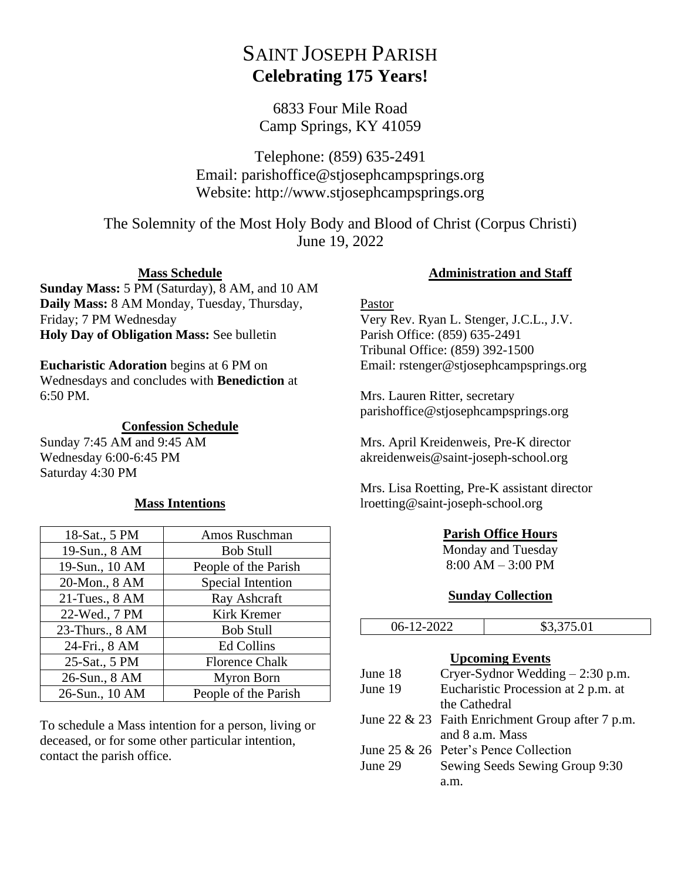# SAINT JOSEPH PARISH **Celebrating 175 Years!**

6833 Four Mile Road Camp Springs, KY 41059

Telephone: (859) 635-2491 Email: parishoffice@stjosephcampsprings.org Website: http://www.stjosephcampsprings.org

The Solemnity of the Most Holy Body and Blood of Christ (Corpus Christi) June 19, 2022

## **Mass Schedule**

**Sunday Mass:** 5 PM (Saturday), 8 AM, and 10 AM **Daily Mass:** 8 AM Monday, Tuesday, Thursday, Friday; 7 PM Wednesday **Holy Day of Obligation Mass:** See bulletin

## **Eucharistic Adoration** begins at 6 PM on

Wednesdays and concludes with **Benediction** at 6:50 PM.

#### **Confession Schedule**

Sunday 7:45 AM and 9:45 AM Wednesday 6:00-6:45 PM Saturday 4:30 PM

# **Mass Intentions**

| 18-Sat., 5 PM       | Amos Ruschman            |
|---------------------|--------------------------|
| 19-Sun., 8 AM       | <b>Bob Stull</b>         |
| 19-Sun., 10 AM      | People of the Parish     |
| 20-Mon., 8 AM       | <b>Special Intention</b> |
| $21$ -Tues., $8$ AM | Ray Ashcraft             |
| 22-Wed., 7 PM       | Kirk Kremer              |
| 23-Thurs., 8 AM     | <b>Bob Stull</b>         |
| 24-Fri., 8 AM       | <b>Ed Collins</b>        |
| 25-Sat., 5 PM       | <b>Florence Chalk</b>    |
| 26-Sun., 8 AM       | Myron Born               |
| 26-Sun., 10 AM      | People of the Parish     |

To schedule a Mass intention for a person, living or deceased, or for some other particular intention, contact the parish office.

## **Administration and Staff**

#### Pastor

Very Rev. Ryan L. Stenger, J.C.L., J.V. Parish Office: (859) 635-2491 Tribunal Office: (859) 392-1500 Email: rstenger@stjosephcampsprings.org

Mrs. Lauren Ritter, secretary parishoffice@stjosephcampsprings.org

Mrs. April Kreidenweis, Pre-K director akreidenweis@saint-joseph-school.org

Mrs. Lisa Roetting, Pre-K assistant director lroetting@saint-joseph-school.org

# **Parish Office Hours**

Monday and Tuesday 8:00 AM – 3:00 PM

#### **Sunday Collection**

| 06-12-2022             |                                     | \$3,375.01                                          |
|------------------------|-------------------------------------|-----------------------------------------------------|
|                        |                                     |                                                     |
| <b>Upcoming Events</b> |                                     |                                                     |
| June 18                | Cryer-Sydnor Wedding $-2:30$ p.m.   |                                                     |
| June 19                | Eucharistic Procession at 2 p.m. at |                                                     |
|                        | the Cathedral                       |                                                     |
|                        |                                     | June $22 \& 23$ Faith Enrichment Group after 7 p.m. |
|                        | and 8 a.m. Mass                     |                                                     |
|                        |                                     | June 25 & 26 Peter's Pence Collection               |
| June 29                |                                     | Sewing Seeds Sewing Group 9:30                      |
|                        | a.m.                                |                                                     |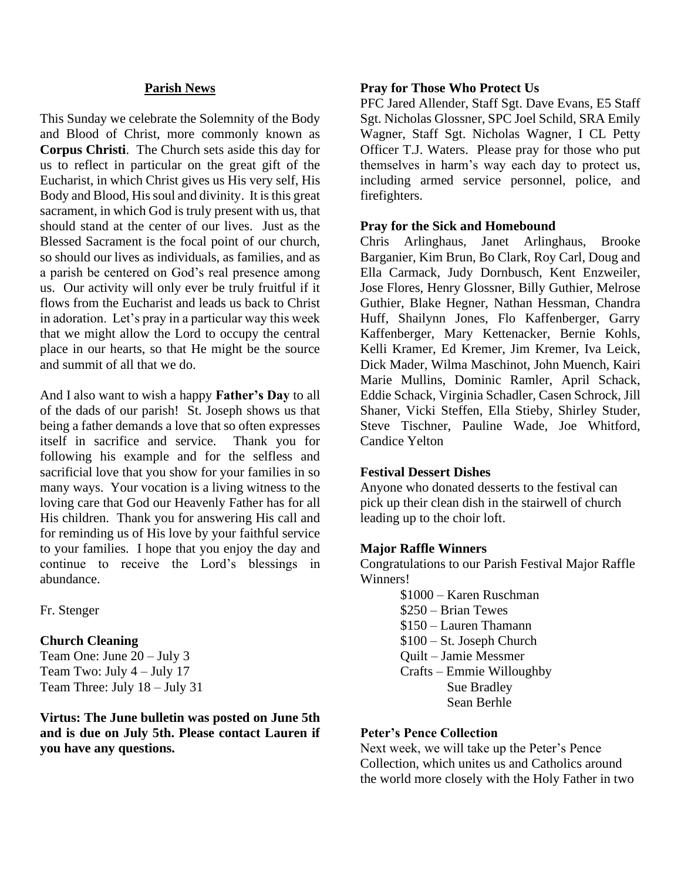## **Parish News**

This Sunday we celebrate the Solemnity of the Body and Blood of Christ, more commonly known as **Corpus Christi**. The Church sets aside this day for us to reflect in particular on the great gift of the Eucharist, in which Christ gives us His very self, His Body and Blood, His soul and divinity. It is this great sacrament, in which God is truly present with us, that should stand at the center of our lives. Just as the Blessed Sacrament is the focal point of our church, so should our lives as individuals, as families, and as a parish be centered on God's real presence among us. Our activity will only ever be truly fruitful if it flows from the Eucharist and leads us back to Christ in adoration. Let's pray in a particular way this week that we might allow the Lord to occupy the central place in our hearts, so that He might be the source and summit of all that we do.

And I also want to wish a happy **Father's Day** to all of the dads of our parish! St. Joseph shows us that being a father demands a love that so often expresses itself in sacrifice and service. Thank you for following his example and for the selfless and sacrificial love that you show for your families in so many ways. Your vocation is a living witness to the loving care that God our Heavenly Father has for all His children. Thank you for answering His call and for reminding us of His love by your faithful service to your families. I hope that you enjoy the day and continue to receive the Lord's blessings in abundance.

Fr. Stenger

#### **Church Cleaning**

Team One: June 20 – July 3 Team Two: July 4 – July 17 Team Three: July 18 – July 31

**Virtus: The June bulletin was posted on June 5th and is due on July 5th. Please contact Lauren if you have any questions.**

## **Pray for Those Who Protect Us**

PFC Jared Allender, Staff Sgt. Dave Evans, E5 Staff Sgt. Nicholas Glossner, SPC Joel Schild, SRA Emily Wagner, Staff Sgt. Nicholas Wagner, I CL Petty Officer T.J. Waters. Please pray for those who put themselves in harm's way each day to protect us, including armed service personnel, police, and firefighters.

## **Pray for the Sick and Homebound**

Chris Arlinghaus, Janet Arlinghaus, Brooke Barganier, Kim Brun, Bo Clark, Roy Carl, Doug and Ella Carmack, Judy Dornbusch, Kent Enzweiler, Jose Flores, Henry Glossner, Billy Guthier, Melrose Guthier, Blake Hegner, Nathan Hessman, Chandra Huff, Shailynn Jones, Flo Kaffenberger, Garry Kaffenberger, Mary Kettenacker, Bernie Kohls, Kelli Kramer, Ed Kremer, Jim Kremer, Iva Leick, Dick Mader, Wilma Maschinot, John Muench, Kairi Marie Mullins, Dominic Ramler, April Schack, Eddie Schack, Virginia Schadler, Casen Schrock, Jill Shaner, Vicki Steffen, Ella Stieby, Shirley Studer, Steve Tischner, Pauline Wade, Joe Whitford, Candice Yelton

#### **Festival Dessert Dishes**

Anyone who donated desserts to the festival can pick up their clean dish in the stairwell of church leading up to the choir loft.

#### **Major Raffle Winners**

Congratulations to our Parish Festival Major Raffle Winners!

> \$1000 – Karen Ruschman \$250 – Brian Tewes \$150 – Lauren Thamann \$100 – St. Joseph Church Quilt – Jamie Messmer Crafts – Emmie Willoughby Sue Bradley Sean Berhle

# **Peter's Pence Collection**

Next week, we will take up the Peter's Pence Collection, which unites us and Catholics around the world more closely with the Holy Father in two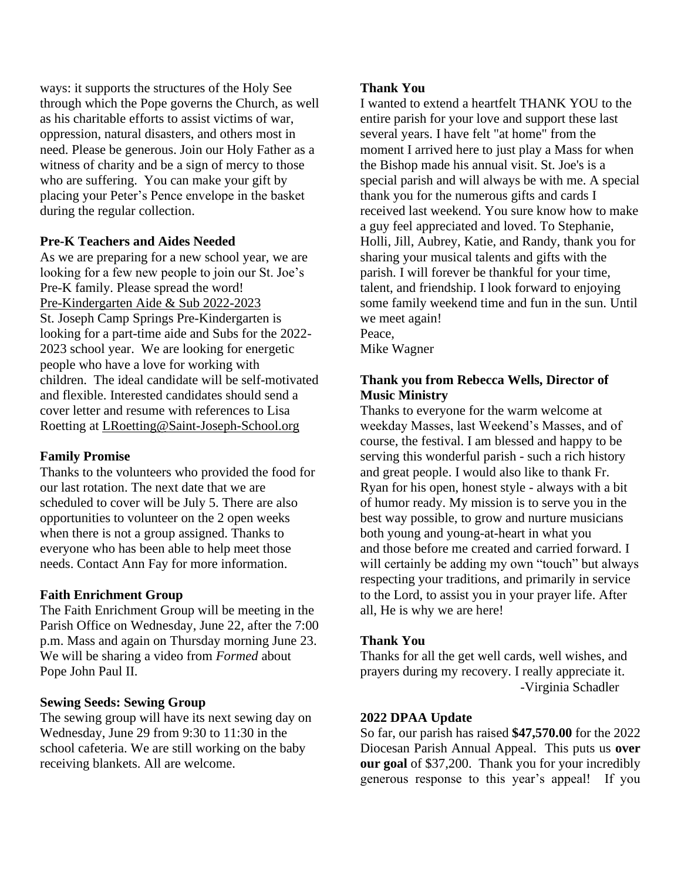ways: it supports the structures of the Holy See through which the Pope governs the Church, as well as his charitable efforts to assist victims of war, oppression, natural disasters, and others most in need. Please be generous. Join our Holy Father as a witness of charity and be a sign of mercy to those who are suffering. You can make your gift by placing your Peter's Pence envelope in the basket during the regular collection.

#### **Pre-K Teachers and Aides Needed**

As we are preparing for a new school year, we are looking for a few new people to join our St. Joe's Pre-K family. Please spread the word! Pre-Kindergarten Aide & Sub 2022-2023 St. Joseph Camp Springs Pre-Kindergarten is looking for a part-time aide and Subs for the 2022- 2023 school year. We are looking for energetic people who have a love for working with children. The ideal candidate will be self-motivated and flexible. Interested candidates should send a cover letter and resume with references to Lisa Roetting at [LRoetting@Saint-Joseph-School.org](mailto:LRoetting@Saint-Joseph-School.org)

#### **Family Promise**

Thanks to the volunteers who provided the food for our last rotation. The next date that we are scheduled to cover will be July 5. There are also opportunities to volunteer on the 2 open weeks when there is not a group assigned. Thanks to everyone who has been able to help meet those needs. Contact Ann Fay for more information.

## **Faith Enrichment Group**

The Faith Enrichment Group will be meeting in the Parish Office on Wednesday, June 22, after the 7:00 p.m. Mass and again on Thursday morning June 23. We will be sharing a video from *Formed* about Pope John Paul II.

#### **Sewing Seeds: Sewing Group**

The sewing group will have its next sewing day on Wednesday, June 29 from 9:30 to 11:30 in the school cafeteria. We are still working on the baby receiving blankets. All are welcome.

#### **Thank You**

I wanted to extend a heartfelt THANK YOU to the entire parish for your love and support these last several years. I have felt "at home" from the moment I arrived here to just play a Mass for when the Bishop made his annual visit. St. Joe's is a special parish and will always be with me. A special thank you for the numerous gifts and cards I received last weekend. You sure know how to make a guy feel appreciated and loved. To Stephanie, Holli, Jill, Aubrey, Katie, and Randy, thank you for sharing your musical talents and gifts with the parish. I will forever be thankful for your time, talent, and friendship. I look forward to enjoying some family weekend time and fun in the sun. Until we meet again! Peace,

Mike Wagner

## **Thank you from Rebecca Wells, Director of Music Ministry**

Thanks to everyone for the warm welcome at weekday Masses, last Weekend's Masses, and of course, the festival. I am blessed and happy to be serving this wonderful parish - such a rich history and great people. I would also like to thank Fr. Ryan for his open, honest style - always with a bit of humor ready. My mission is to serve you in the best way possible, to grow and nurture musicians both young and young-at-heart in what you and those before me created and carried forward. I will certainly be adding my own "touch" but always respecting your traditions, and primarily in service to the Lord, to assist you in your prayer life. After all, He is why we are here!

## **Thank You**

Thanks for all the get well cards, well wishes, and prayers during my recovery. I really appreciate it. -Virginia Schadler

## **2022 DPAA Update**

So far, our parish has raised **\$47,570.00** for the 2022 Diocesan Parish Annual Appeal. This puts us **over our goal** of \$37,200. Thank you for your incredibly generous response to this year's appeal! If you